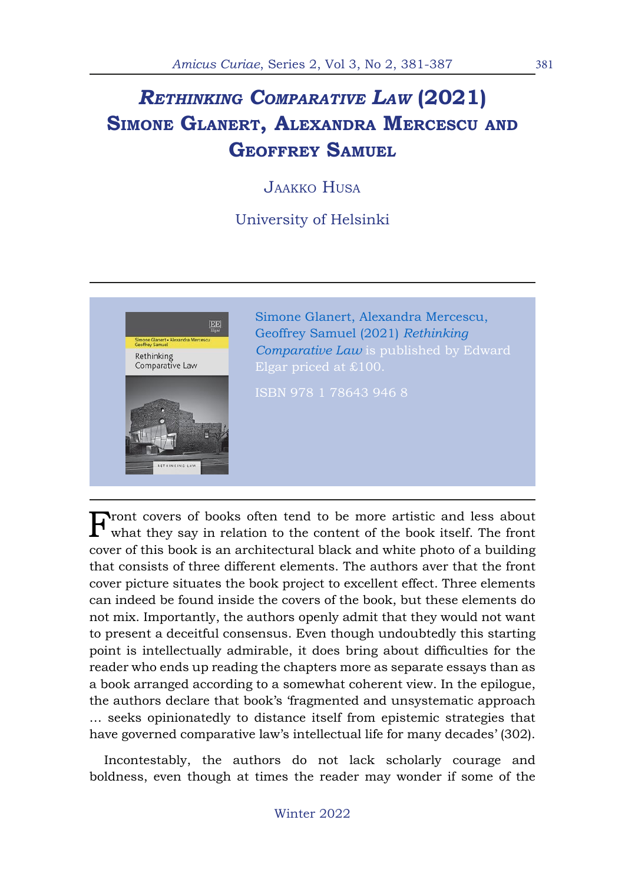## *Rethinking Comparative Law* **(2021) Simone Glanert, Alexandra Mercescu and Geoffrey Samuel**

Jaakko Husa

University of Helsinki



Front covers of books often tend to be more artistic and less about what they say in relation to the content of the book itself. The front cover of this book is an architectural black and white photo of a building that consists of three different elements. The authors aver that the front cover picture situates the book project to excellent effect. Three elements can indeed be found inside the covers of the book, but these elements do not mix. Importantly, the authors openly admit that they would not want to present a deceitful consensus. Even though undoubtedly this starting point is intellectually admirable, it does bring about difficulties for the reader who ends up reading the chapters more as separate essays than as a book arranged according to a somewhat coherent view. In the epilogue, the authors declare that book's 'fragmented and unsystematic approach … seeks opinionatedly to distance itself from epistemic strategies that have governed comparative law's intellectual life for many decades' (302).

Incontestably, the authors do not lack scholarly courage and boldness, even though at times the reader may wonder if some of the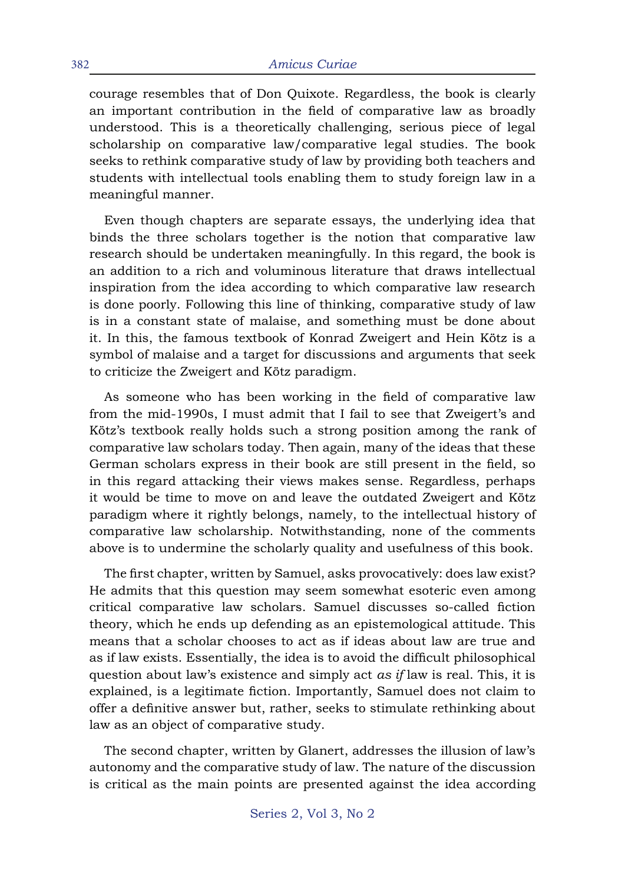courage resembles that of Don Quixote. Regardless, the book is clearly an important contribution in the field of comparative law as broadly understood. This is a theoretically challenging, serious piece of legal scholarship on comparative law/comparative legal studies. The book seeks to rethink comparative study of law by providing both teachers and students with intellectual tools enabling them to study foreign law in a meaningful manner.

Even though chapters are separate essays, the underlying idea that binds the three scholars together is the notion that comparative law research should be undertaken meaningfully. In this regard, the book is an addition to a rich and voluminous literature that draws intellectual inspiration from the idea according to which comparative law research is done poorly. Following this line of thinking, comparative study of law is in a constant state of malaise, and something must be done about it. In this, the famous textbook of Konrad Zweigert and Hein Kötz is a symbol of malaise and a target for discussions and arguments that seek to criticize the Zweigert and Kötz paradigm.

As someone who has been working in the field of comparative law from the mid-1990s, I must admit that I fail to see that Zweigert's and Kötz's textbook really holds such a strong position among the rank of comparative law scholars today. Then again, many of the ideas that these German scholars express in their book are still present in the field, so in this regard attacking their views makes sense. Regardless, perhaps it would be time to move on and leave the outdated Zweigert and Kötz paradigm where it rightly belongs, namely, to the intellectual history of comparative law scholarship. Notwithstanding, none of the comments above is to undermine the scholarly quality and usefulness of this book.

The first chapter, written by Samuel, asks provocatively: does law exist? He admits that this question may seem somewhat esoteric even among critical comparative law scholars. Samuel discusses so-called fiction theory, which he ends up defending as an epistemological attitude. This means that a scholar chooses to act as if ideas about law are true and as if law exists. Essentially, the idea is to avoid the difficult philosophical question about law's existence and simply act *as if* law is real. This, it is explained, is a legitimate fiction. Importantly, Samuel does not claim to offer a definitive answer but, rather, seeks to stimulate rethinking about law as an object of comparative study.

The second chapter, written by Glanert, addresses the illusion of law's autonomy and the comparative study of law. The nature of the discussion is critical as the main points are presented against the idea according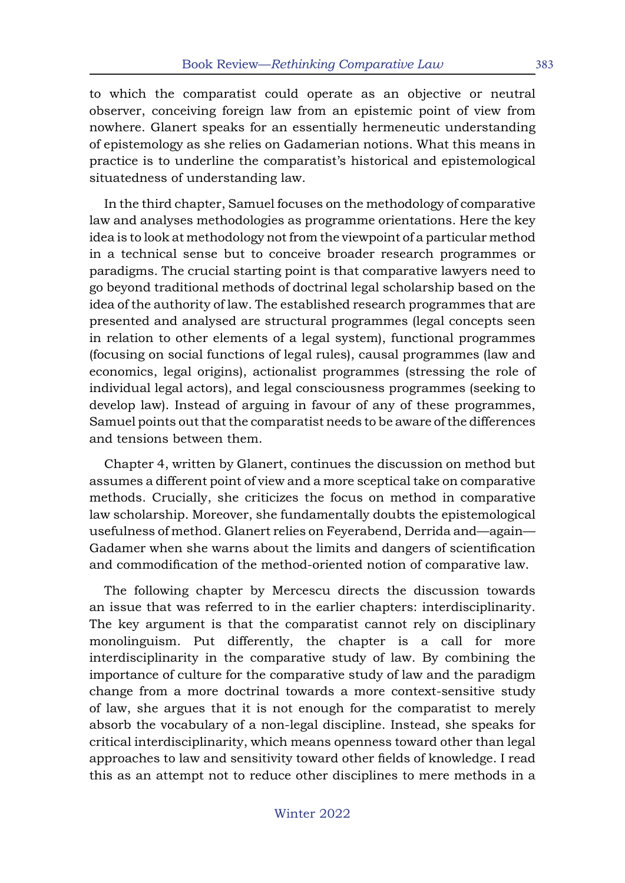to which the comparatist could operate as an objective or neutral observer, conceiving foreign law from an epistemic point of view from nowhere. Glanert speaks for an essentially hermeneutic understanding of epistemology as she relies on Gadamerian notions. What this means in practice is to underline the comparatist's historical and epistemological situatedness of understanding law.

In the third chapter, Samuel focuses on the methodology of comparative law and analyses methodologies as programme orientations. Here the key idea is to look at methodology not from the viewpoint of a particular method in a technical sense but to conceive broader research programmes or paradigms. The crucial starting point is that comparative lawyers need to go beyond traditional methods of doctrinal legal scholarship based on the idea of the authority of law. The established research programmes that are presented and analysed are structural programmes (legal concepts seen in relation to other elements of a legal system), functional programmes (focusing on social functions of legal rules), causal programmes (law and economics, legal origins), actionalist programmes (stressing the role of individual legal actors), and legal consciousness programmes (seeking to develop law). Instead of arguing in favour of any of these programmes, Samuel points out that the comparatist needs to be aware of the differences and tensions between them.

Chapter 4, written by Glanert, continues the discussion on method but assumes a different point of view and a more sceptical take on comparative methods. Crucially, she criticizes the focus on method in comparative law scholarship. Moreover, she fundamentally doubts the epistemological usefulness of method. Glanert relies on Feyerabend, Derrida and—again— Gadamer when she warns about the limits and dangers of scientification and commodification of the method-oriented notion of comparative law.

The following chapter by Mercescu directs the discussion towards an issue that was referred to in the earlier chapters: interdisciplinarity. The key argument is that the comparatist cannot rely on disciplinary monolinguism. Put differently, the chapter is a call for more interdisciplinarity in the comparative study of law. By combining the importance of culture for the comparative study of law and the paradigm change from a more doctrinal towards a more context-sensitive study of law, she argues that it is not enough for the comparatist to merely absorb the vocabulary of a non-legal discipline. Instead, she speaks for critical interdisciplinarity, which means openness toward other than legal approaches to law and sensitivity toward other fields of knowledge. I read this as an attempt not to reduce other disciplines to mere methods in a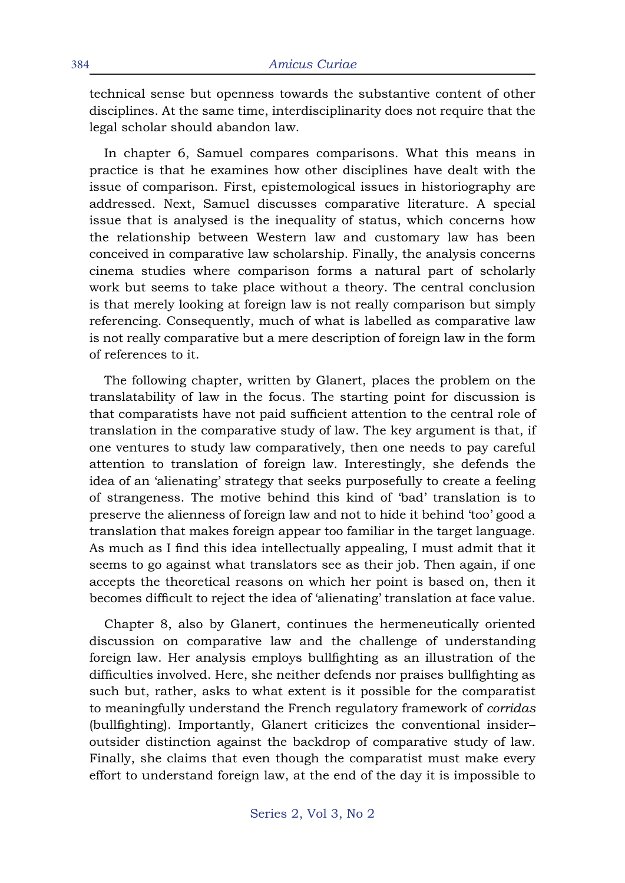technical sense but openness towards the substantive content of other disciplines. At the same time, interdisciplinarity does not require that the legal scholar should abandon law.

In chapter 6, Samuel compares comparisons. What this means in practice is that he examines how other disciplines have dealt with the issue of comparison. First, epistemological issues in historiography are addressed. Next, Samuel discusses comparative literature. A special issue that is analysed is the inequality of status, which concerns how the relationship between Western law and customary law has been conceived in comparative law scholarship. Finally, the analysis concerns cinema studies where comparison forms a natural part of scholarly work but seems to take place without a theory. The central conclusion is that merely looking at foreign law is not really comparison but simply referencing. Consequently, much of what is labelled as comparative law is not really comparative but a mere description of foreign law in the form of references to it.

The following chapter, written by Glanert, places the problem on the translatability of law in the focus. The starting point for discussion is that comparatists have not paid sufficient attention to the central role of translation in the comparative study of law. The key argument is that, if one ventures to study law comparatively, then one needs to pay careful attention to translation of foreign law. Interestingly, she defends the idea of an 'alienating' strategy that seeks purposefully to create a feeling of strangeness. The motive behind this kind of 'bad' translation is to preserve the alienness of foreign law and not to hide it behind 'too' good a translation that makes foreign appear too familiar in the target language. As much as I find this idea intellectually appealing, I must admit that it seems to go against what translators see as their job. Then again, if one accepts the theoretical reasons on which her point is based on, then it becomes difficult to reject the idea of 'alienating' translation at face value.

Chapter 8, also by Glanert, continues the hermeneutically oriented discussion on comparative law and the challenge of understanding foreign law. Her analysis employs bullfighting as an illustration of the difficulties involved. Here, she neither defends nor praises bullfighting as such but, rather, asks to what extent is it possible for the comparatist to meaningfully understand the French regulatory framework of *corridas* (bullfighting). Importantly, Glanert criticizes the conventional insider– outsider distinction against the backdrop of comparative study of law. Finally, she claims that even though the comparatist must make every effort to understand foreign law, at the end of the day it is impossible to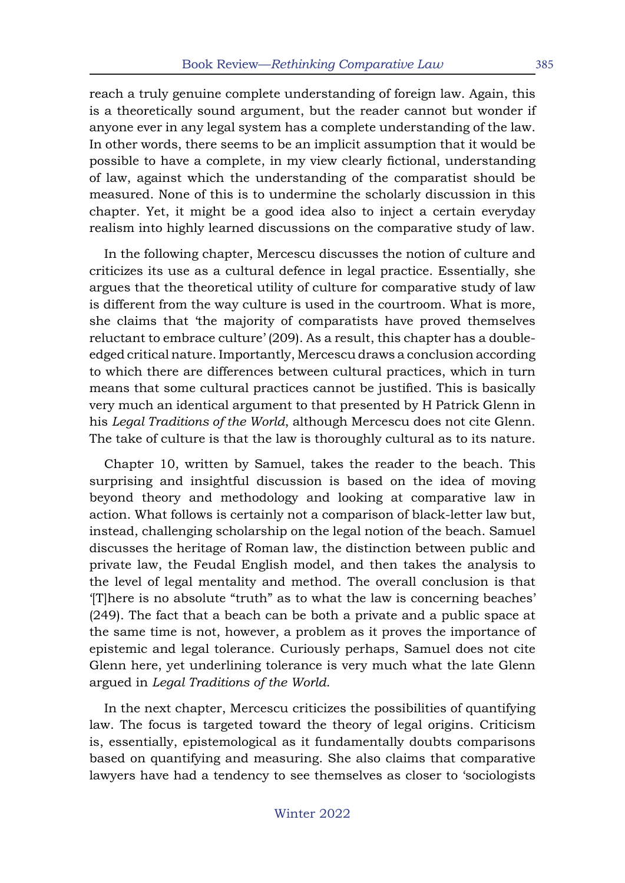reach a truly genuine complete understanding of foreign law. Again, this is a theoretically sound argument, but the reader cannot but wonder if anyone ever in any legal system has a complete understanding of the law. In other words, there seems to be an implicit assumption that it would be possible to have a complete, in my view clearly fictional, understanding of law, against which the understanding of the comparatist should be measured. None of this is to undermine the scholarly discussion in this chapter. Yet, it might be a good idea also to inject a certain everyday realism into highly learned discussions on the comparative study of law.

In the following chapter, Mercescu discusses the notion of culture and criticizes its use as a cultural defence in legal practice. Essentially, she argues that the theoretical utility of culture for comparative study of law is different from the way culture is used in the courtroom. What is more, she claims that 'the majority of comparatists have proved themselves reluctant to embrace culture' (209). As a result, this chapter has a doubleedged critical nature. Importantly, Mercescu draws a conclusion according to which there are differences between cultural practices, which in turn means that some cultural practices cannot be justified. This is basically very much an identical argument to that presented by H Patrick Glenn in his *Legal Traditions of the World*, although Mercescu does not cite Glenn. The take of culture is that the law is thoroughly cultural as to its nature.

Chapter 10, written by Samuel, takes the reader to the beach. This surprising and insightful discussion is based on the idea of moving beyond theory and methodology and looking at comparative law in action. What follows is certainly not a comparison of black-letter law but, instead, challenging scholarship on the legal notion of the beach. Samuel discusses the heritage of Roman law, the distinction between public and private law, the Feudal English model, and then takes the analysis to the level of legal mentality and method. The overall conclusion is that '[T]here is no absolute "truth" as to what the law is concerning beaches' (249). The fact that a beach can be both a private and a public space at the same time is not, however, a problem as it proves the importance of epistemic and legal tolerance. Curiously perhaps, Samuel does not cite Glenn here, yet underlining tolerance is very much what the late Glenn argued in *Legal Traditions of the World*.

In the next chapter, Mercescu criticizes the possibilities of quantifying law. The focus is targeted toward the theory of legal origins. Criticism is, essentially, epistemological as it fundamentally doubts comparisons based on quantifying and measuring. She also claims that comparative lawyers have had a tendency to see themselves as closer to 'sociologists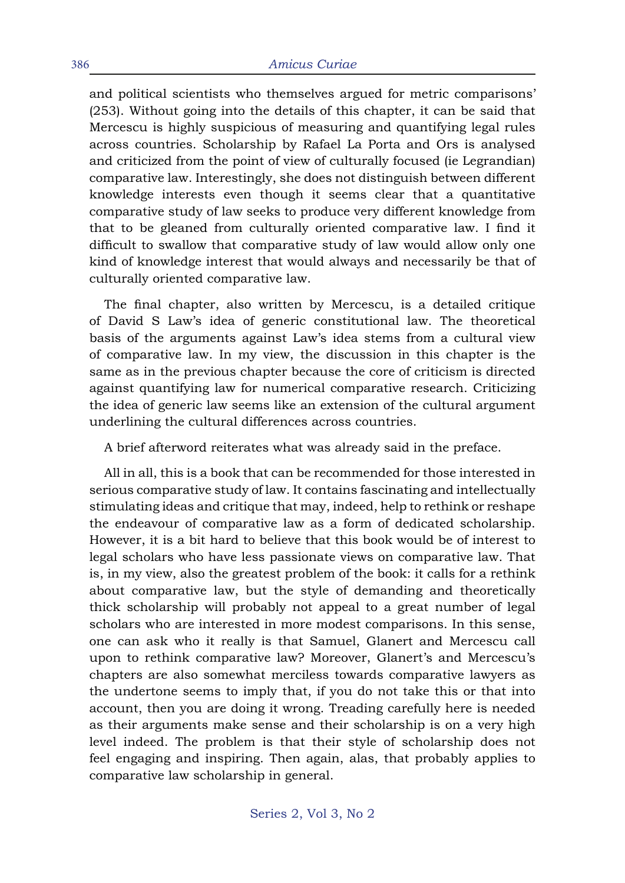and political scientists who themselves argued for metric comparisons' (253). Without going into the details of this chapter, it can be said that Mercescu is highly suspicious of measuring and quantifying legal rules across countries. Scholarship by Rafael La Porta and Ors is analysed and criticized from the point of view of culturally focused (ie Legrandian) comparative law. Interestingly, she does not distinguish between different knowledge interests even though it seems clear that a quantitative comparative study of law seeks to produce very different knowledge from that to be gleaned from culturally oriented comparative law. I find it difficult to swallow that comparative study of law would allow only one kind of knowledge interest that would always and necessarily be that of culturally oriented comparative law.

The final chapter, also written by Mercescu, is a detailed critique of David S Law's idea of generic constitutional law. The theoretical basis of the arguments against Law's idea stems from a cultural view of comparative law. In my view, the discussion in this chapter is the same as in the previous chapter because the core of criticism is directed against quantifying law for numerical comparative research. Criticizing the idea of generic law seems like an extension of the cultural argument underlining the cultural differences across countries.

A brief afterword reiterates what was already said in the preface.

All in all, this is a book that can be recommended for those interested in serious comparative study of law. It contains fascinating and intellectually stimulating ideas and critique that may, indeed, help to rethink or reshape the endeavour of comparative law as a form of dedicated scholarship. However, it is a bit hard to believe that this book would be of interest to legal scholars who have less passionate views on comparative law. That is, in my view, also the greatest problem of the book: it calls for a rethink about comparative law, but the style of demanding and theoretically thick scholarship will probably not appeal to a great number of legal scholars who are interested in more modest comparisons. In this sense, one can ask who it really is that Samuel, Glanert and Mercescu call upon to rethink comparative law? Moreover, Glanert's and Mercescu's chapters are also somewhat merciless towards comparative lawyers as the undertone seems to imply that, if you do not take this or that into account, then you are doing it wrong. Treading carefully here is needed as their arguments make sense and their scholarship is on a very high level indeed. The problem is that their style of scholarship does not feel engaging and inspiring. Then again, alas, that probably applies to comparative law scholarship in general.